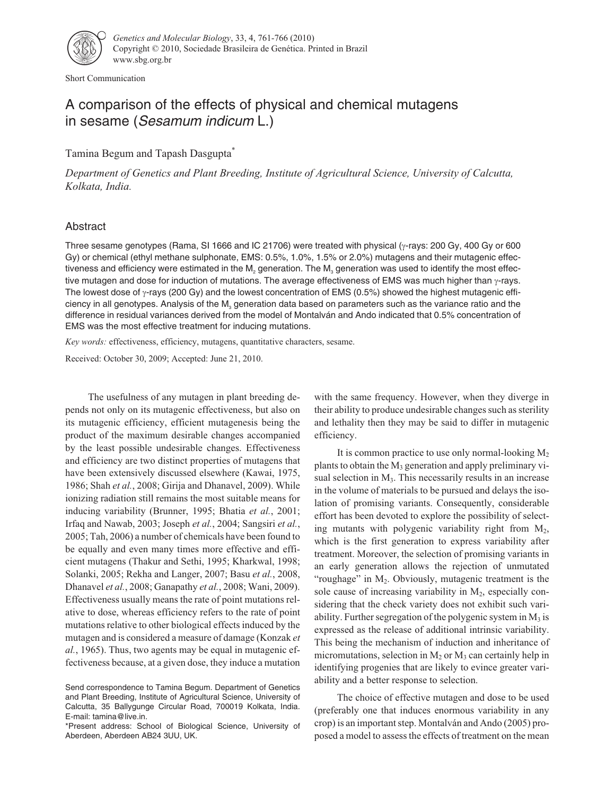

Short Communication

# A comparison of the effects of physical and chemical mutagens in sesame (Sesamum indicum L.)

Tamina Begum and Tapash Dasgupta\*

*Department of Genetics and Plant Breeding, Institute of Agricultural Science, University of Calcutta, Kolkata, India.*

## Abstract

Three sesame genotypes (Rama, SI 1666 and IC 21706) were treated with physical ( $\gamma$ -rays: 200 Gy, 400 Gy or 600 Gy) or chemical (ethyl methane sulphonate, EMS: 0.5%, 1.0%, 1.5% or 2.0%) mutagens and their mutagenic effectiveness and efficiency were estimated in the M<sub>2</sub> generation. The M<sub>3</sub> generation was used to identify the most effective mutagen and dose for induction of mutations. The average effectiveness of EMS was much higher than  $\gamma$ -rays. The lowest dose of  $\gamma$ -rays (200 Gy) and the lowest concentration of EMS (0.5%) showed the highest mutagenic efficiency in all genotypes. Analysis of the  $M_3$  generation data based on parameters such as the variance ratio and the difference in residual variances derived from the model of Montalván and Ando indicated that 0.5% concentration of EMS was the most effective treatment for inducing mutations.

*Key words:* effectiveness, efficiency, mutagens, quantitative characters, sesame.

Received: October 30, 2009; Accepted: June 21, 2010.

The usefulness of any mutagen in plant breeding depends not only on its mutagenic effectiveness, but also on its mutagenic efficiency, efficient mutagenesis being the product of the maximum desirable changes accompanied by the least possible undesirable changes. Effectiveness and efficiency are two distinct properties of mutagens that have been extensively discussed elsewhere (Kawai, 1975, 1986; Shah *et al.*, 2008; Girija and Dhanavel, 2009). While ionizing radiation still remains the most suitable means for inducing variability (Brunner, 1995; Bhatia *et al.*, 2001; Irfaq and Nawab, 2003; Joseph *et al.*, 2004; Sangsiri *et al.*, 2005; Tah, 2006) a number of chemicals have been found to be equally and even many times more effective and efficient mutagens (Thakur and Sethi, 1995; Kharkwal, 1998; Solanki, 2005; Rekha and Langer, 2007; Basu *et al.*, 2008, Dhanavel *et al.*, 2008; Ganapathy *et al.*, 2008; Wani, 2009). Effectiveness usually means the rate of point mutations relative to dose, whereas efficiency refers to the rate of point mutations relative to other biological effects induced by the mutagen and is considered a measure of damage (Konzak *et al.*, 1965). Thus, two agents may be equal in mutagenic effectiveness because, at a given dose, they induce a mutation with the same frequency. However, when they diverge in their ability to produce undesirable changes such as sterility and lethality then they may be said to differ in mutagenic efficiency.

It is common practice to use only normal-looking  $M_2$ plants to obtain the  $M_3$  generation and apply preliminary visual selection in  $M<sub>3</sub>$ . This necessarily results in an increase in the volume of materials to be pursued and delays the isolation of promising variants. Consequently, considerable effort has been devoted to explore the possibility of selecting mutants with polygenic variability right from M<sub>2</sub>, which is the first generation to express variability after treatment. Moreover, the selection of promising variants in an early generation allows the rejection of unmutated "roughage" in M<sub>2</sub>. Obviously, mutagenic treatment is the sole cause of increasing variability in  $M_2$ , especially considering that the check variety does not exhibit such variability. Further segregation of the polygenic system in  $M_3$  is expressed as the release of additional intrinsic variability. This being the mechanism of induction and inheritance of micromutations, selection in  $M_2$  or  $M_3$  can certainly help in identifying progenies that are likely to evince greater variability and a better response to selection.

The choice of effective mutagen and dose to be used (preferably one that induces enormous variability in any crop) is an important step. Montalván and Ando (2005) proposed a model to assess the effects of treatment on the mean

Send correspondence to Tamina Begum. Department of Genetics and Plant Breeding, Institute of Agricultural Science, University of Calcutta, 35 Ballygunge Circular Road, 700019 Kolkata, India. E-mail: tamina@live.in.

<sup>\*</sup>Present address: School of Biological Science, University of Aberdeen, Aberdeen AB24 3UU, UK.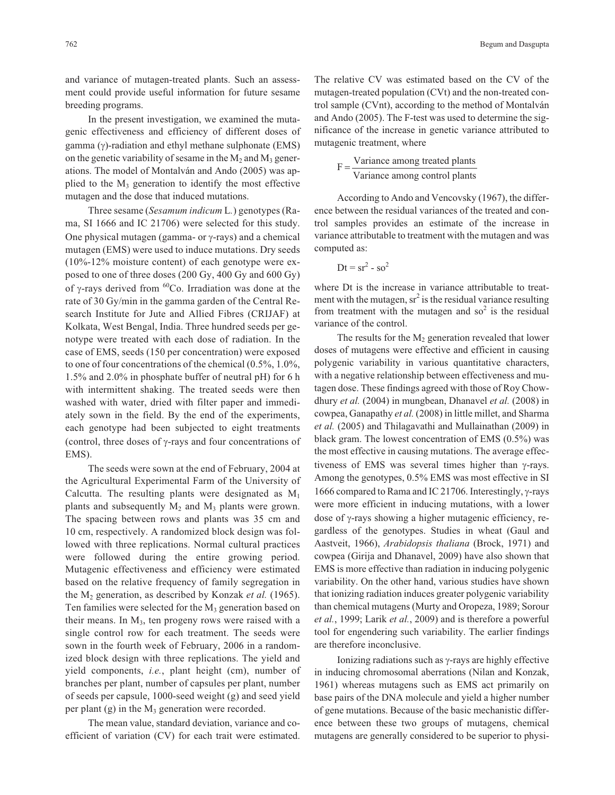and variance of mutagen-treated plants. Such an assessment could provide useful information for future sesame breeding programs.

In the present investigation, we examined the mutagenic effectiveness and efficiency of different doses of gamma  $(\gamma)$ -radiation and ethyl methane sulphonate (EMS) on the genetic variability of sesame in the  $M_2$  and  $M_3$  generations. The model of Montalván and Ando (2005) was applied to the  $M_3$  generation to identify the most effective mutagen and the dose that induced mutations.

Three sesame (*Sesamum indicum* L*.*) genotypes (Rama, SI 1666 and IC 21706) were selected for this study. One physical mutagen (gamma- or  $\gamma$ -rays) and a chemical mutagen (EMS) were used to induce mutations. Dry seeds (10%-12% moisture content) of each genotype were exposed to one of three doses (200 Gy, 400 Gy and 600 Gy) of  $\gamma$ -rays derived from <sup>60</sup>Co. Irradiation was done at the rate of 30 Gy/min in the gamma garden of the Central Research Institute for Jute and Allied Fibres (CRIJAF) at Kolkata, West Bengal, India. Three hundred seeds per genotype were treated with each dose of radiation. In the case of EMS, seeds (150 per concentration) were exposed to one of four concentrations of the chemical (0.5%, 1.0%, 1.5% and 2.0% in phosphate buffer of neutral pH) for 6 h with intermittent shaking. The treated seeds were then washed with water, dried with filter paper and immediately sown in the field. By the end of the experiments, each genotype had been subjected to eight treatments (control, three doses of  $\gamma$ -rays and four concentrations of EMS).

The seeds were sown at the end of February, 2004 at the Agricultural Experimental Farm of the University of Calcutta. The resulting plants were designated as  $M_1$ plants and subsequently  $M_2$  and  $M_3$  plants were grown. The spacing between rows and plants was 35 cm and 10 cm, respectively. A randomized block design was followed with three replications. Normal cultural practices were followed during the entire growing period. Mutagenic effectiveness and efficiency were estimated based on the relative frequency of family segregation in the M2 generation, as described by Konzak *et al.* (1965). Ten families were selected for the  $M_3$  generation based on their means. In  $M<sub>3</sub>$ , ten progeny rows were raised with a single control row for each treatment. The seeds were sown in the fourth week of February, 2006 in a randomized block design with three replications. The yield and yield components, *i.e.*, plant height (cm), number of branches per plant, number of capsules per plant, number of seeds per capsule, 1000-seed weight (g) and seed yield per plant  $(g)$  in the  $M_3$  generation were recorded.

The mean value, standard deviation, variance and coefficient of variation (CV) for each trait were estimated. The relative CV was estimated based on the CV of the mutagen-treated population (CVt) and the non-treated control sample (CVnt), according to the method of Montalván and Ando (2005). The F-test was used to determine the significance of the increase in genetic variance attributed to mutagenic treatment, where

$$
F = \frac{Variance \ among \ treated \ plants}{Variance \ among \ control \ plants}
$$

According to Ando and Vencovsky (1967), the difference between the residual variances of the treated and control samples provides an estimate of the increase in variance attributable to treatment with the mutagen and was computed as:

$$
Dt = sr^2 - so^2
$$

where Dt is the increase in variance attributable to treatment with the mutagen,  $sr^2$  is the residual variance resulting from treatment with the mutagen and  $\text{so}^2$  is the residual variance of the control.

The results for the  $M_2$  generation revealed that lower doses of mutagens were effective and efficient in causing polygenic variability in various quantitative characters, with a negative relationship between effectiveness and mutagen dose. These findings agreed with those of Roy Chowdhury *et al.* (2004) in mungbean, Dhanavel *et al.* (2008) in cowpea, Ganapathy *et al.* (2008) in little millet, and Sharma *et al.* (2005) and Thilagavathi and Mullainathan (2009) in black gram. The lowest concentration of EMS (0.5%) was the most effective in causing mutations. The average effectiveness of EMS was several times higher than  $\gamma$ -rays. Among the genotypes, 0.5% EMS was most effective in SI 1666 compared to Rama and IC 21706. Interestingly,  $\gamma$ -rays were more efficient in inducing mutations, with a lower dose of  $\gamma$ -rays showing a higher mutagenic efficiency, regardless of the genotypes. Studies in wheat (Gaul and Aastveit, 1966), *Arabidopsis thaliana* (Brock, 1971) and cowpea (Girija and Dhanavel, 2009) have also shown that EMS is more effective than radiation in inducing polygenic variability. On the other hand, various studies have shown that ionizing radiation induces greater polygenic variability than chemical mutagens (Murty and Oropeza, 1989; Sorour *et al.*, 1999; Larik *et al.*, 2009) and is therefore a powerful tool for engendering such variability. The earlier findings are therefore inconclusive.

Ionizing radiations such as  $\gamma$ -rays are highly effective in inducing chromosomal aberrations (Nilan and Konzak, 1961) whereas mutagens such as EMS act primarily on base pairs of the DNA molecule and yield a higher number of gene mutations. Because of the basic mechanistic difference between these two groups of mutagens, chemical mutagens are generally considered to be superior to physi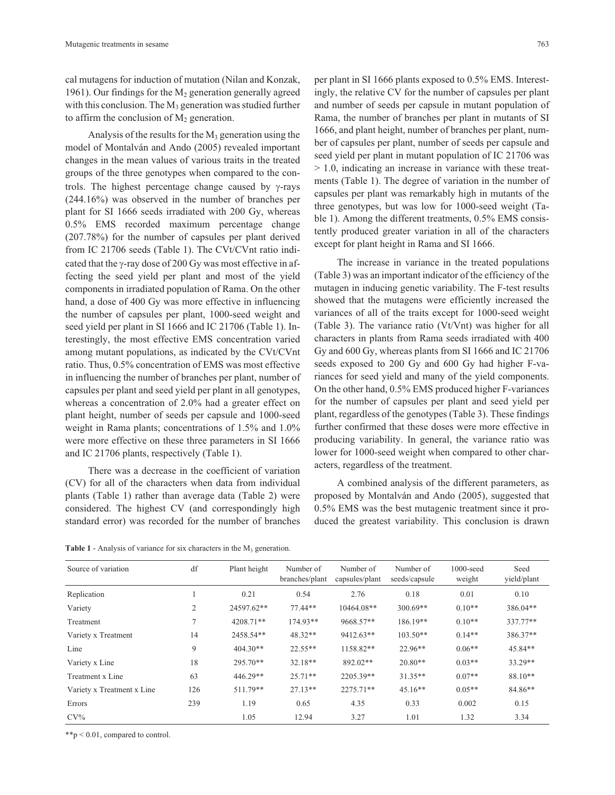cal mutagens for induction of mutation (Nilan and Konzak, 1961). Our findings for the  $M_2$  generation generally agreed with this conclusion. The  $M_3$  generation was studied further to affirm the conclusion of  $M<sub>2</sub>$  generation.

Analysis of the results for the  $M_3$  generation using the model of Montalván and Ando (2005) revealed important changes in the mean values of various traits in the treated groups of the three genotypes when compared to the controls. The highest percentage change caused by  $\gamma$ -rays (244.16%) was observed in the number of branches per plant for SI 1666 seeds irradiated with 200 Gy, whereas 0.5% EMS recorded maximum percentage change (207.78%) for the number of capsules per plant derived from IC 21706 seeds (Table 1). The CVt/CVnt ratio indicated that the  $\gamma$ -ray dose of 200 Gy was most effective in affecting the seed yield per plant and most of the yield components in irradiated population of Rama. On the other hand, a dose of 400 Gy was more effective in influencing the number of capsules per plant, 1000-seed weight and seed yield per plant in SI 1666 and IC 21706 (Table 1). Interestingly, the most effective EMS concentration varied among mutant populations, as indicated by the CVt/CVnt ratio. Thus, 0.5% concentration of EMS was most effective in influencing the number of branches per plant, number of capsules per plant and seed yield per plant in all genotypes, whereas a concentration of 2.0% had a greater effect on plant height, number of seeds per capsule and 1000-seed weight in Rama plants; concentrations of 1.5% and 1.0% were more effective on these three parameters in SI 1666 and IC 21706 plants, respectively (Table 1).

There was a decrease in the coefficient of variation (CV) for all of the characters when data from individual plants (Table 1) rather than average data (Table 2) were considered. The highest CV (and correspondingly high standard error) was recorded for the number of branches per plant in SI 1666 plants exposed to 0.5% EMS. Interestingly, the relative CV for the number of capsules per plant and number of seeds per capsule in mutant population of Rama, the number of branches per plant in mutants of SI 1666, and plant height, number of branches per plant, number of capsules per plant, number of seeds per capsule and seed yield per plant in mutant population of IC 21706 was > 1.0, indicating an increase in variance with these treatments (Table 1). The degree of variation in the number of capsules per plant was remarkably high in mutants of the three genotypes, but was low for 1000-seed weight (Table 1). Among the different treatments, 0.5% EMS consistently produced greater variation in all of the characters except for plant height in Rama and SI 1666.

The increase in variance in the treated populations (Table 3) was an important indicator of the efficiency of the mutagen in inducing genetic variability. The F-test results showed that the mutagens were efficiently increased the variances of all of the traits except for 1000-seed weight (Table 3). The variance ratio (Vt/Vnt) was higher for all characters in plants from Rama seeds irradiated with 400 Gy and 600 Gy, whereas plants from SI 1666 and IC 21706 seeds exposed to 200 Gy and 600 Gy had higher F-variances for seed yield and many of the yield components. On the other hand, 0.5% EMS produced higher F-variances for the number of capsules per plant and seed yield per plant, regardless of the genotypes (Table 3). These findings further confirmed that these doses were more effective in producing variability. In general, the variance ratio was lower for 1000-seed weight when compared to other characters, regardless of the treatment.

A combined analysis of the different parameters, as proposed by Montalván and Ando (2005), suggested that 0.5% EMS was the best mutagenic treatment since it produced the greatest variability. This conclusion is drawn

**Table 1** - Analysis of variance for six characters in the  $M_3$  generation.

| Source of variation        | df  | Plant height | Number of<br>branches/plant | Number of<br>capsules/plant | Number of<br>seeds/capsule | 1000-seed<br>weight | Seed<br>yield/plant |
|----------------------------|-----|--------------|-----------------------------|-----------------------------|----------------------------|---------------------|---------------------|
| Replication                |     | 0.21         | 0.54                        | 2.76                        | 0.18                       | 0.01                | 0.10                |
| Variety                    | 2   | 24597.62**   | 77.44**                     | $10464.08**$                | $300.69**$                 | $0.10**$            | 386.04**            |
| Treatment                  |     | 4208.71**    | $174.93**$                  | 9668.57**                   | 186.19**                   | $0.10**$            | 337.77**            |
| Variety x Treatment        | 14  | 2458.54**    | 48.32**                     | 9412.63**                   | $103.50**$                 | $0.14**$            | 386.37**            |
| Line                       | 9   | $404.30**$   | $22.55**$                   | 1158.82**                   | $22.96**$                  | $0.06**$            | 45.84**             |
| Variety x Line             | 18  | $295.70**$   | $32.18**$                   | 892.02**                    | $20.80**$                  | $0.03**$            | 33.29**             |
| Treatment x Line           | 63  | 446.29**     | $25.71**$                   | 2205.39**                   | $31.35**$                  | $0.07**$            | $88.10**$           |
| Variety x Treatment x Line | 126 | 511.79**     | $27.13**$                   | 2275.71**                   | $45.16**$                  | $0.05**$            | 84.86**             |
| Errors                     | 239 | 1.19         | 0.65                        | 4.35                        | 0.33                       | 0.002               | 0.15                |
| $CV\%$                     |     | 1.05         | 12.94                       | 3.27                        | 1.01                       | 1.32                | 3.34                |

\*\*p < 0.01, compared to control.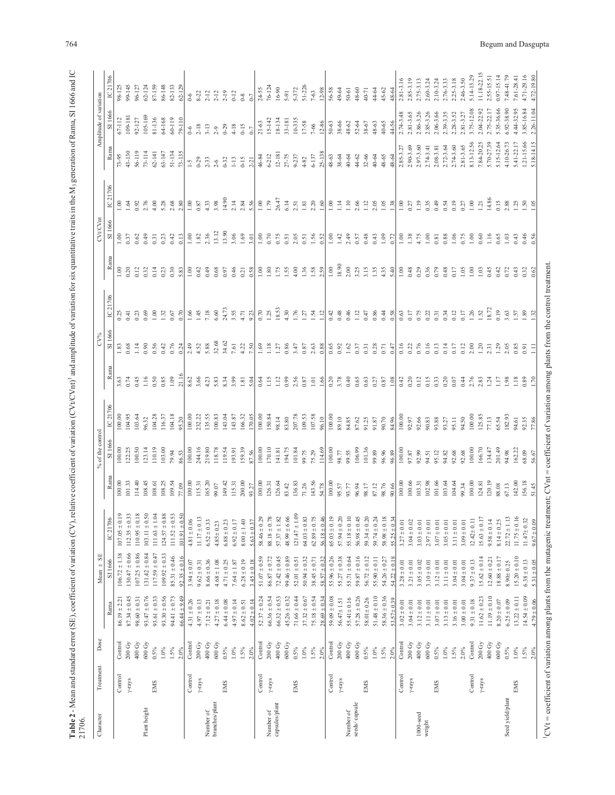| ļ             |               |
|---------------|---------------|
|               |               |
|               |               |
|               |               |
|               |               |
|               |               |
| ł<br>ׇ֒֘֝֡    |               |
|               |               |
|               |               |
|               |               |
|               |               |
|               |               |
|               |               |
|               |               |
| I             |               |
|               |               |
| ì             |               |
| ł             |               |
| į             |               |
|               |               |
| į             |               |
|               |               |
|               |               |
|               |               |
|               |               |
|               |               |
|               |               |
|               |               |
|               |               |
|               |               |
|               |               |
|               |               |
|               |               |
|               |               |
|               |               |
|               |               |
|               |               |
|               |               |
|               |               |
|               |               |
|               |               |
|               |               |
|               |               |
|               |               |
|               |               |
|               |               |
|               |               |
|               |               |
|               |               |
|               |               |
|               |               |
|               |               |
|               |               |
|               |               |
| Ĭ             |               |
|               |               |
|               |               |
|               |               |
|               |               |
| relativa<br>3 |               |
|               |               |
|               |               |
|               |               |
|               |               |
|               |               |
|               |               |
|               |               |
|               |               |
|               |               |
|               |               |
|               |               |
|               |               |
|               |               |
|               |               |
|               |               |
| l             |               |
| í E           |               |
|               |               |
|               |               |
|               |               |
|               |               |
|               |               |
|               |               |
|               |               |
|               |               |
|               |               |
|               |               |
|               |               |
|               |               |
|               |               |
|               |               |
|               | ż             |
|               | $\frac{1}{2}$ |

| 21706.              |                |                    |                  |                      |                                                                                                                                                                                                                                                                |        |                |                         |                     |                         |                                                      |                                                             |                                             |                                             |                    |                        |                |
|---------------------|----------------|--------------------|------------------|----------------------|----------------------------------------------------------------------------------------------------------------------------------------------------------------------------------------------------------------------------------------------------------------|--------|----------------|-------------------------|---------------------|-------------------------|------------------------------------------------------|-------------------------------------------------------------|---------------------------------------------|---------------------------------------------|--------------------|------------------------|----------------|
| Character           | Treatmen       | Dose               |                  | $_{\rm{SE}}$<br>Mean |                                                                                                                                                                                                                                                                |        | of the cont    |                         |                     |                         |                                                      |                                                             | <b>CVt/CV</b>                               |                                             |                    | mplitude of variation  |                |
|                     |                |                    | Rama             | SI1666               | IC 21706                                                                                                                                                                                                                                                       | Rama   | $\frac{16}{1}$ | C21706                  | Ram                 | $\overline{\text{S}}$   | IC 21706                                             |                                                             | 51                                          |                                             | Rama               |                        |                |
|                     | Control        | Control            | $86.19 \pm 2.21$ | $106.72 \pm 1.38$    | $107.05 \pm 0.19$                                                                                                                                                                                                                                              | 100.00 | 100.00         | 100.00                  | 3.63                | $\overline{.83}$        | 0.25                                                 | 1.00                                                        | 1.00                                        | $\overline{0}$                              | 73-95              |                        | 98-125         |
|                     | $\gamma$ -rays | $200\;\mathrm{Gy}$ | $87.34 \pm 0.45$ | $130.47 \pm 0.66$    |                                                                                                                                                                                                                                                                | 101.33 | 22.25          | 04.95                   | 0.74                | 0.68                    | 0.41                                                 | 0.20                                                        | 0.37                                        |                                             | $43 - 130$         | $67-112$<br>109-181    | $9 - 145$      |
|                     |                | 400 Gy             | $98.60 \pm 0.31$ | $107.25 \pm 0.86$    | $\begin{array}{c} 112.35 \pm 0.33 \\ 110.95 \pm 0.18 \\ 103.11 \pm 0.50 \\ 103.11 \pm 0.50 \\ 111.63 \pm 1.04 \\ 124.57 \pm 0.88 \\ 111.52 \pm 0.53 \\ 101.91 \pm 0.50 \end{array}$                                                                            | 114.40 | 00.50          | 03.64                   | 0.45                | $\overline{\mathbf{H}}$ | 0.23                                                 |                                                             | 0.62                                        | $1.64$<br>$2.76$<br>$4.00$                  | 56-119             | 92-127                 | 96-127         |
| Plant height        |                | 600 Gy             | $93.47 \pm 0.76$ | $131.42 \pm 0.84$    |                                                                                                                                                                                                                                                                | 108.45 | 23.14          | 06.32                   | 116                 | 0.90                    |                                                      | 0.32                                                        | 0.49                                        |                                             | $73 - 114$         | 105-169                | $62 - 124$     |
|                     | EMS            | $0.5\%$            | $93.61 \pm 0.33$ | $117.59 \pm 0.47$    |                                                                                                                                                                                                                                                                | [08.6] | 10.19          | 104.28                  | 0.50                | 0.56                    |                                                      | 0.14                                                        | 0.31                                        |                                             | $62 - 141$         | 81-136                 | 87-159         |
|                     |                | $1.0\%$            | $93.30 \pm 0.56$ | $109.92 \pm 0.33$    |                                                                                                                                                                                                                                                                | 108.25 | 103.00         | 116.37                  | 0.85                | 0.42                    | $0.69$<br>1.00<br>1.32<br>1.367                      | 0.23                                                        | 0.23                                        | $3.38$<br>$2.80$                            | 63-147             | 64-168                 | 86-148         |
|                     |                | $1.5\%$            | $94.41 \pm 0.73$ | $85.31 \pm 0.46$     |                                                                                                                                                                                                                                                                | 109.54 | 79.94          | 04.18                   | 1.09                | 0.76                    |                                                      | 0.30                                                        | 0.42                                        |                                             | 51-134             | 60-119                 | 82-133         |
|                     |                | $2.0\%$            | $66.44 \pm 9.49$ | $92.35 \pm 0.16$     |                                                                                                                                                                                                                                                                | 77.09  | 86.53          | 5.20                    | 21.16               | 0.24                    | 270                                                  | 5.83                                                        | $\frac{3}{2}$                               |                                             | $73 - 135$         | 79-110                 | $62 - 129$     |
|                     | Control        | Control            | $4.31 \pm 0.26$  | $3.94 \pm 0.07$      |                                                                                                                                                                                                                                                                | 100.00 | 100.00         | 100.00                  | 8.62                | 2.49                    | $1.45$<br>$7.18$                                     | 1.00                                                        | $1.00$<br>$1.82$<br>$2.36$                  | $1.00$<br>0.87<br>4.33<br>3.98              | $\overline{5}$     | $6-6$                  | $0-6$          |
|                     | y-rays         | 200Gy              | $4.97 \pm 0.13$  | $9.62 \pm 0.31$      |                                                                                                                                                                                                                                                                | 115.31 | 244.16         | 232.22<br>135.55        | 3.66                | 4.52<br>5.88            |                                                      | 0.42                                                        |                                             |                                             | $0 - 29$           | $2 - 18$<br>3-13       | $8 - 22$       |
| Number of           |                | 400 Gy             | $7.12 \pm 0.21$  | $8.66 \pm 0.36$      |                                                                                                                                                                                                                                                                | 165.20 | 219.80         |                         | 4.23                |                         |                                                      | 0.49                                                        |                                             |                                             | $2 - 33$           |                        | $2 - 12$       |
| branches/plant      |                | 600 Gy             | $4.27 \pm 0.18$  | $4.68 \pm 1.08$      |                                                                                                                                                                                                                                                                | 99.07  | 118.78         | 00.83                   | 5.83                | 32.68                   | 6.60                                                 | 0.68                                                        | 13.12                                       |                                             | $2-6$              | $2 - 9$                | $2 - 12$       |
|                     | EMS            | $0.5\%$            | $6.44 \pm 0.08$  | $4.71 \pm 0.25$      |                                                                                                                                                                                                                                                                | 149.42 | 19.54          | 143.04<br>143.87        | 8.34                | 34.62                   | 24.73                                                | 0.97                                                        | 13.90                                       | 14.90                                       | $0 - 32$<br>1-13   | $0 - 29$               | $2 - 19$       |
|                     |                | $1.0\%$            | $4.97 \pm 0.14$  | $7.64 \pm 1.87$      |                                                                                                                                                                                                                                                                | 115.31 | 193.91         |                         | 3.99                | 7.61                    | $3.55$<br>$4.71$<br>$9.23$                           | 0.46                                                        | 3.06                                        | $2.34$<br>$2.34$<br>$5.56$                  |                    | $4-18$                 | $0 - 12$       |
|                     |                | $1.5\%$            | $8.62 \pm 0.51$  | $6.28 \pm 0.19$      |                                                                                                                                                                                                                                                                | 200.00 | 159.39         | 166.32                  | $1.81$              | 4.22                    |                                                      | 0.21                                                        | 1.69                                        |                                             | $0 - 15$           | $0 - 15$               | $0-8$          |
|                     |                | $2.0\%$            | $4.02 \pm 0.14$  | $3.45 \pm 0.18$      |                                                                                                                                                                                                                                                                | 93.27  | 87.56          | 70.05                   | $\frac{5.04}{5}$    | $\frac{50}{25}$         |                                                      |                                                             | $\frac{5}{2}$                               |                                             | $\overline{21}$    | $0 - 7$                | $0 - 7$        |
|                     | Control        | Control            | $52.37 \pm 0.24$ | $51.07 \pm 0.59$     |                                                                                                                                                                                                                                                                | 100.00 | 100.00         | 100.00                  | 0.64                | 1.69                    | 0.70                                                 |                                                             |                                             | $\begin{array}{c} 1.00 \\ 1.79 \end{array}$ | 46-84              | $21 - 63$              | $24 - 55$      |
| Number of           | y-rays         | 200 Gy             | $66.36 \pm 0.54$ | $86.87 \pm 0.72$     |                                                                                                                                                                                                                                                                | 126.31 | 70.10          | 150.84                  | 1.15                | 1.18                    | 1.25                                                 |                                                             | $\begin{array}{c} 1.00 \\ 0.70 \end{array}$ |                                             | $6 - 212$          | $15-142$               | 76-124         |
| capsules/plant      |                | 400 Gy             | $66.32 \pm 0.53$ | $72.42 \pm 0.45$     |                                                                                                                                                                                                                                                                | 126.64 | 141.81         |                         | 1.12                | 1.27                    |                                                      |                                                             | 0.75                                        | 26.47                                       | $12 - 181$         | 18-134                 | $16 - 90$      |
|                     |                | 600 Gy             | $45.26 \pm 0.32$ | $99.46 \pm 0.89$     |                                                                                                                                                                                                                                                                | 83.42  | 94.75          | 98.14<br>83.80          | 0.99                | 0.86                    | $\begin{array}{c} 18.53 \\ 4.30 \\ 1.76 \end{array}$ | $\begin{array}{c} 1.00 \\ 1.80 \\ 1.75 \\ 1.55 \end{array}$ | 0.51                                        | 6.14                                        | 27-75              | 33-181<br>10-335       | $5 - 91$       |
|                     | EMS            | $0.5\%$            | $71.66 \pm 0.44$ | $52.01 \pm 0.51$     |                                                                                                                                                                                                                                                                | 136.83 | 01.84          | 207.78                  | 2.56                | 3.47                    |                                                      | 4.00                                                        |                                             |                                             | 9-237              |                        | $5 - 372$      |
|                     |                | $1.0\%$            | $37.32 \pm 0.67$ | $50.94 \pm 0.32$     |                                                                                                                                                                                                                                                                | 71.26  | 99.75          | 109.53                  | 0.87                | $0.87$                  | 1.27                                                 | $1.36$<br>$1.58$<br>$2.59$                                  | $\begin{array}{c} 2.05 \\ 0.51 \end{array}$ |                                             | $4 - 82$           | $17 - 58$              | 51-226         |
|                     |                | $1.5\%$            | $75.18 \pm 0.54$ | $38.45 \pm 0.71$     |                                                                                                                                                                                                                                                                | 143.56 | 75.29          | 107.58                  | $1.01\,$            | 2.63                    | 1.54                                                 |                                                             | $1.56$<br>$0.52$                            |                                             | $6 - 137$          | 7-66                   | $7 - 63$       |
|                     |                | $2.0\%$            | $28.69 \pm 0.34$ | $58.57 \pm 0.32$     |                                                                                                                                                                                                                                                                | 54.78  | 114.69         | 96.10                   | 1.66                | 0.88                    | 1.12                                                 |                                                             |                                             |                                             | 25-138             | $12 - 86$              | $12 - 98$      |
|                     | Control        | Control            | $59.09 \pm 0.08$ | $55.96 \pm 0.26$     |                                                                                                                                                                                                                                                                | 100.00 | 100.00         | 100.00                  | 0.20                | 0.65                    | 0.42                                                 | $1.00\,$                                                    | $1.00$<br>$1.42$<br>$2.49$                  |                                             | 48-63              | $50 - 63$              | 56-58          |
|                     | $\gamma$ -rays | 200 Gy             | $56.47 \pm 1.51$ | $55.27 \pm 0.38$     |                                                                                                                                                                                                                                                                | 95.57  | 98.77          | 89.10                   | 3.78                | 0.92                    | 0.48                                                 | 18.90                                                       |                                             |                                             | 38-64              | 38-66                  | 49-64          |
| Number of           |                | 400 Gy             | $55.41 \pm 0.16$ | $55.71 \pm 0.64$     |                                                                                                                                                                                                                                                                | 93.77  | 99.55          | 84.85                   | 0.40                | $1.62\,$                | 0.46                                                 | 2.00                                                        |                                             |                                             | 40-64              | 48-62                  | $50 - 61$      |
| seeds/capsule       |                | 600 Gy             | $57.28 \pm 0.26$ | $59.87 \pm 0.16$     |                                                                                                                                                                                                                                                                | 96.94  | 106.99         | 87.62                   | 0.65                | 0.37                    | $1.12$<br>0.47                                       | 3.25                                                        | 0.57                                        |                                             | $44 - 62$<br>32-66 | 52-64<br>38-67         | 48-60          |
|                     | EMS            | $0.5\%$            | $58.01 \pm 0.26$ | $56.72 \pm 0.12$     |                                                                                                                                                                                                                                                                | 98.17  | 101.36         | 91.25<br>91.87<br>90.70 | 0.63                | 0.31                    |                                                      | 3.15                                                        | 0.48                                        |                                             |                    |                        | $40 - 71$      |
|                     |                | $1.0\%$            | $51.48 \pm 0.10$ | $55.90 \pm 0.11$     |                                                                                                                                                                                                                                                                | 87.12  | 99.89          |                         | 0.27                | $\frac{0.28}{0.71}$     | $0.86$<br>0.44                                       | $1.35$<br>4.35                                              | $0.43$<br>1.09                              |                                             | 40-64              | $48 - 63$<br>$40 - 65$ | 44-64          |
|                     |                | $1.5\%$            | $58.36 \pm 0.36$ | $54.26 \pm 0.27$     |                                                                                                                                                                                                                                                                | 98.76  | 96.96          |                         | 0.87                |                         |                                                      |                                                             |                                             |                                             | 48-65              |                        | $45 - 62$      |
|                     |                | $2.0\%$            | $53.57 \pm 0.39$ | $54.22 \pm 0.18$     |                                                                                                                                                                                                                                                                | 90.66  | 96.89          | 84.96                   | 1.08                | 0.47                    | 0.58                                                 | 5.40                                                        | 0.72                                        |                                             | 48-64              | 44-56                  | $48 - 64$      |
|                     | Control        | Control            | $3.02 \pm 0.01$  | $3.28 \pm 0.01$      |                                                                                                                                                                                                                                                                | 100.00 | 100.00         | 100.00                  | 0.42                | 0.16                    | 0.63                                                 | 1.00                                                        | 1.38                                        | $1.00$<br>0.27                              | 2.85-3.27          | $2.74 - 3.48$          | $2.81 - 3.16$  |
|                     | $\gamma$ -rays | 200Gy              | $3.04 \pm 0.01$  | $3.21 \pm 0.01$      |                                                                                                                                                                                                                                                                | 100.66 | 97.87          | 92.97                   | 0.20                | 0.22                    | $0.17$                                               | 0.48                                                        |                                             |                                             | 2.90-3.69          | 2.81-3.65              | 2.85-3.19      |
| 1000-seed<br>weight |                | 400 Gy             | $3.12 \pm 0.01$  | $3.05 \pm 0.02$      |                                                                                                                                                                                                                                                                | 103.31 | 92.99          | 92.66<br>90.83          | 0.12                | 0.76                    |                                                      | 0.29                                                        | 4.75                                        |                                             | 2.97-3.60          | 2.86-3.26              | 2.75-3.13      |
|                     |                | 600 Gy             | $3.11 \pm 0.01$  | $3.10 \pm 0.01$      |                                                                                                                                                                                                                                                                | 102.98 | 94.51          |                         | 0.15                | 0.16                    |                                                      | 0.36                                                        | 1.00                                        | 1.19<br>0.35<br>0.49                        | 2.74-3.41          | 2.85-3.26              | $2.60 - 3.24$  |
|                     | EMS            | $0.5\%$            | $3.07 \pm 0.01$  | $3.12 \pm 0.01$      |                                                                                                                                                                                                                                                                | 101.66 | 95.12          | 93.88<br>93.27          | 0.33                | 0.13                    |                                                      | 0.79                                                        | $0.81$                                      |                                             | 2.08-3.81          | 2.06-3.66              | $2.10 - 3.24$  |
|                     |                | $1.0\%$            | $3.13 \pm 0.01$  | $3.11\pm0.01$        |                                                                                                                                                                                                                                                                | 103.64 | 94.82          |                         | 0.20                | 0.14                    |                                                      | 0.48                                                        | $_{0.88}$                                   |                                             | $2.72 - 3.64$      | 2.39-3.35              | $2.76 - 3.33$  |
|                     |                | $1.5\%$            | $3.16 \pm 0.01$  | $3.04 \pm 0.01$      | $481 \pm 0.06$ $11.17 \pm 0.13$ $6.32 \pm 0.33$ $6.85 \pm 0.23$ $6.85 \pm 0.23$ $5.84 \pm 1.40$ $6.83 \pm 0.21$ $6.85 \pm 0.23$ $5.84 \pm 0.23$ $5.85 \pm 1.47 \pm 1.09$ $5.81 \pm 1.63$ $5.81 \pm 1.63$ $5.81 \pm 1.63$ $5.81 \pm 1.63$ $5.81 \pm 1.63$ $5.8$ | 104.64 | 92.68<br>92.68 | 95.11                   | $0.07$              | 0.17                    |                                                      | 0.17                                                        | $1.06$<br>$0.75$<br>$1.00$                  | $0.19$<br>$0.27$<br>$1.00$                  | 2.74-3.60          | $2.28 - 3.52$          | 2.25-3.18      |
|                     |                | $2.0\%$            | $3.00\pm0.01$    | $3.04 \pm 0.01$      |                                                                                                                                                                                                                                                                | 99.34  |                | 94.50                   | 0.44                | $0.12$<br>$2.00$        |                                                      | 1.05                                                        |                                             |                                             | 2.81-3.65          | 2.81-3.27              | $2.46 - 3.50$  |
|                     | Control        | Control            | $9.31 \pm 0.18$  | $9.37 \pm 0.13$      |                                                                                                                                                                                                                                                                | 100.00 | 100.00         | 100.00                  | 2.76                |                         | 1.26                                                 | 0.00                                                        |                                             |                                             | 8.13-12.56         | 3.75-12.08             | 5.14-13.29     |
|                     | $\gamma$ -rays | 200Gy              | $11.62 \pm 0.23$ | $15.62 \pm 0.14$     |                                                                                                                                                                                                                                                                | 124.81 | 166.70         | 125.85                  | 2.83                | 1.20                    | 1.52                                                 | 1.03                                                        | 0.60                                        | 1.21                                        | 7.84-20.25         | 2.04-22.92             | $1.18 - 22.15$ |
|                     |                | 400 Gy             | $11.19 \pm 0.10$ | $12.60 \pm 0.21$     |                                                                                                                                                                                                                                                                | 120.19 | 134.47         | 77.13                   | 1.24                | 2.31                    | 18.72                                                | 0.45                                                        | 1.16<br>0.65                                | 14.86                                       | 5.70-27.39         | 2.75-22.17             | 2.55-15.51     |
|                     |                | 600 Gy             | $8.20 \pm 0.07$  | $18.88 \pm 0.17$     | $\begin{array}{c} 12.42\pm0.11\\ 15.63\pm0.17\\ 9.58\pm0.14\\ 8.14\pm0.25\\ 22.72\pm1.13 \end{array}$                                                                                                                                                          | 88.08  | 201.49         | 65.54                   | 1.17                | 1.29                    | 0.19                                                 | 0.42                                                        |                                             | $0.15$<br>2.88                              | 5.15-12.64         | 5.35-36.66             | 0.97-15.14     |
| Seed yield/plant    |                | $0.5\%$            | $6.25 \pm 0.09$  | $8.90 \pm 0.25$      |                                                                                                                                                                                                                                                                | 67.13  | 94.98          | 182.93                  | 1.98                | 2.05                    | 3.63                                                 | 0.72                                                        | 1.03                                        |                                             | 1.10-26.73         | 5.92-38.90             | $.48 - 41.79$  |
|                     | EMS            | $1.0\%$            | $13.22 \pm 0.11$ | $15.20 \pm 0.10$     | $\overline{16}$<br>$11.75 \pm 0.$                                                                                                                                                                                                                              | 142.00 | 162.22         | 19'40                   |                     | 0.85                    | 1.57                                                 | 0.43                                                        | 0.43                                        |                                             | 5.41-22.17         | 1.44-32.95             | $.61 - 28.41$  |
|                     |                | $1.5\%$            | $14.54 \pm 0.09$ | $6.38 \pm 0.13$      | $11.47 \pm 0.32$                                                                                                                                                                                                                                               | 156.18 | 68.09          | 92.35                   | $\frac{1.18}{0.89}$ | 0.91                    |                                                      | $0.32$<br>$0.62$                                            | 0.46<br>0.56                                | $1.50$<br>$1.50$                            | $1.21 - 15.66$     | 3.85-16.84             | 4.71-29.16     |
|                     |                | $2.0\%$            | $4.79 \pm 0.06$  | $5.31 \pm 0.05$      | $9.67 + 0.09$                                                                                                                                                                                                                                                  | 51.45  | 56.67          | 77.86                   |                     |                         | $\overline{32}$                                      |                                                             |                                             |                                             | 5.18-14.15         | 2.26-11.04             | $4.72 - 19.80$ |
|                     |                |                    |                  |                      | $\text{CVI} = \text{coefficient}$ of variation among plants from the mutagenic treatment; $\text{CVnt} = \text{coefficient}$ of variation among plants from the control treatment                                                                              |        |                |                         |                     |                         |                                                      |                                                             |                                             |                                             |                    |                        |                |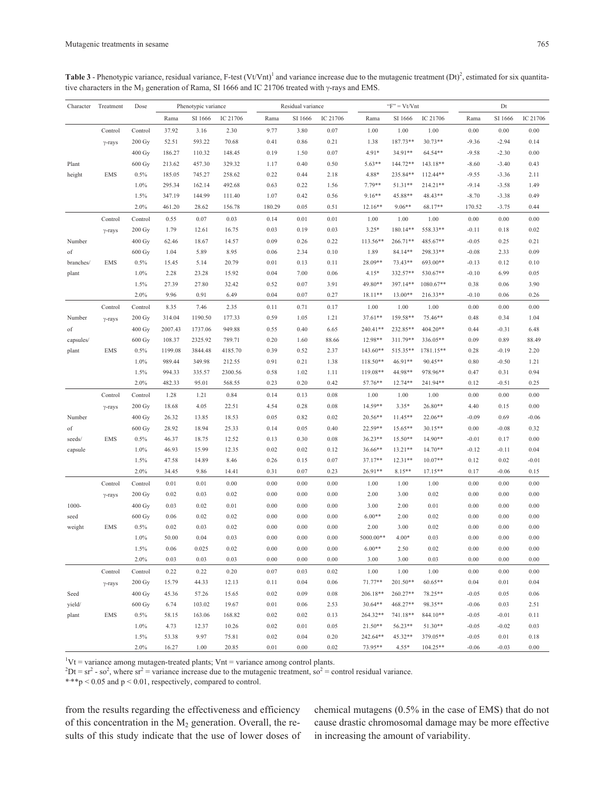**Table 3** - Phenotypic variance, residual variance, F-test  $(VtVnt)^{1}$  and variance increase due to the mutagenic treatment  $(Dt)^{2}$ , estimated for six quantitative characters in the M<sub>3</sub> generation of Rama, SI 1666 and IC 21706 treated with  $\gamma$ -rays and EMS.

| Character | Treatment      | Dose               |         | Phenotypic variance |          |          | Residual variance |          |           | $"F" = Vt/Vnt$ |            |          | Dt       |          |
|-----------|----------------|--------------------|---------|---------------------|----------|----------|-------------------|----------|-----------|----------------|------------|----------|----------|----------|
|           |                |                    | Rama    | SI 1666             | IC 21706 | Rama     | SI 1666           | IC 21706 | Rama      | SI 1666        | IC 21706   | Rama     | SI 1666  | IC 21706 |
|           | Control        | Control            | 37.92   | 3.16                | 2.30     | 9.77     | 3.80              | 0.07     | 1.00      | 1.00           | 1.00       | 0.00     | $0.00\,$ | 0.00     |
|           | $\gamma$ -rays | $200 \text{ Gy}$   | 52.51   | 593.22              | 70.68    | 0.41     | 0.86              | 0.21     | 1.38      | 187.73**       | $30.73**$  | $-9.36$  | $-2.94$  | 0.14     |
|           |                | 400 Gy             | 186.27  | 110.32              | 148.45   | 0.19     | 1.50              | 0.07     | $4.91*$   | 34.91**        | 64.54**    | $-9.58$  | $-2.30$  | 0.00     |
| Plant     |                | 600 Gy             | 213.62  | 457.30              | 329.32   | 1.17     | 0.40              | 0.50     | $5.63**$  | 144.72**       | 143.18**   | $-8.60$  | $-3.40$  | 0.43     |
| height    | <b>EMS</b>     | 0.5%               | 185.05  | 745.27              | 258.62   | 0.22     | 0.44              | 2.18     | 4.88*     | 235.84**       | $112.44**$ | $-9.55$  | $-3.36$  | 2.11     |
|           |                | 1.0%               | 295.34  | 162.14              | 492.68   | 0.63     | 0.22              | 1.56     | 7.79**    | 51.31**        | $214.21**$ | $-9.14$  | $-3.58$  | 1.49     |
|           |                | 1.5%               | 347.19  | 144.99              | 111.40   | 1.07     | 0.42              | 0.56     | $9.16**$  | 45.88**        | 48.43**    | $-8.70$  | $-3.38$  | 0.49     |
|           |                | 2.0%               | 461.20  | 28.62               | 156.78   | 180.29   | 0.05              | 0.51     | $12.16**$ | $9.06**$       | 68.17**    | 170.52   | $-3.75$  | 0.44     |
|           | Control        | Control            | 0.55    | 0.07                | 0.03     | 0.14     | 0.01              | 0.01     | 1.00      | 1.00           | 1.00       | 0.00     | 0.00     | 0.00     |
|           | $\gamma$ -rays | $200 \text{ Gy}$   | 1.79    | 12.61               | 16.75    | 0.03     | 0.19              | 0.03     | $3.25*$   | 180.14**       | 558.33**   | $-0.11$  | 0.18     | 0.02     |
| Number    |                | 400 Gy             | 62.46   | 18.67               | 14.57    | 0.09     | 0.26              | 0.22     | 113.56**  | 266.71**       | 485.67**   | $-0.05$  | 0.25     | 0.21     |
| of        |                | 600 Gy             | 1.04    | 5.89                | 8.95     | 0.06     | 2.34              | 0.10     | 1.89      | 84.14**        | 298.33**   | $-0.08$  | 2.33     | 0.09     |
| branches/ | <b>EMS</b>     | 0.5%               | 15.45   | 5.14                | 20.79    | 0.01     | 0.13              | 0.11     | 28.09**   | 73.43**        | 693.00**   | $-0.13$  | 0.12     | 0.10     |
| plant     |                | 1.0%               | 2.28    | 23.28               | 15.92    | 0.04     | 7.00              | 0.06     | $4.15*$   | 332.57**       | 530.67**   | $-0.10$  | 6.99     | 0.05     |
|           |                | 1.5%               | 27.39   | 27.80               | 32.42    | 0.52     | 0.07              | 3.91     | 49.80**   | 397.14**       | 1080.67**  | 0.38     | 0.06     | 3.90     |
|           |                | 2.0%               | 9.96    | 0.91                | 6.49     | 0.04     | 0.07              | 0.27     | $18.11**$ | 13.00**        | $216.33**$ | $-0.10$  | 0.06     | 0.26     |
|           | Control        | Control            | 8.35    | 7.46                | 2.35     | 0.11     | 0.71              | 0.17     | 1.00      | 1.00           | 1.00       | 0.00     | 0.00     | 0.00     |
| Number    | $\gamma$ -rays | $200\,\mathrm{Gy}$ | 314.04  | 1190.50             | 177.33   | 0.59     | 1.05              | 1.21     | $37.61**$ | 159.58**       | 75.46**    | 0.48     | 0.34     | 1.04     |
| of        |                | 400 Gy             | 2007.43 | 1737.06             | 949.88   | 0.55     | 0.40              | 6.65     | 240.41**  | 232.85**       | 404.20**   | 0.44     | $-0.31$  | 6.48     |
| capsules/ |                | 600 Gy             | 108.37  | 2325.92             | 789.71   | 0.20     | 1.60              | 88.66    | 12.98**   | 311.79**       | 336.05**   | 0.09     | 0.89     | 88.49    |
| plant     | <b>EMS</b>     | 0.5%               | 1199.08 | 3844.48             | 4185.70  | 0.39     | 0.52              | 2.37     | 143.60**  | 515.35**       | 1781.15**  | 0.28     | $-0.19$  | 2.20     |
|           |                | 1.0%               | 989.44  | 349.98              | 212.55   | 0.91     | 0.21              | 1.38     | 118.50**  | 46.91**        | $90.45**$  | 0.80     | $-0.50$  | 1.21     |
|           |                | 1.5%               | 994.33  | 335.57              | 2300.56  | 0.58     | 1.02              | 1.11     | 119.08**  | 44.98**        | 978.96**   | 0.47     | 0.31     | 0.94     |
|           |                | 2.0%               | 482.33  | 95.01               | 568.55   | 0.23     | 0.20              | 0.42     | 57.76**   | 12.74**        | 241.94**   | 0.12     | $-0.51$  | 0.25     |
|           | Control        | Control            | 1.28    | 1.21                | 0.84     | 0.14     | 0.13              | 0.08     | 1.00      | 1.00           | 1.00       | 0.00     | 0.00     | 0.00     |
|           | $\gamma$ -rays | 200 Gy             | 18.68   | 4.05                | 22.51    | 4.54     | 0.28              | 0.08     | 14.59**   | $3.35*$        | 26.80**    | 4.40     | 0.15     | 0.00     |
| Number    |                | 400 Gy             | 26.32   | 13.85               | 18.53    | 0.05     | 0.82              | 0.02     | 20.56**   | $11.45**$      | $22.06**$  | $-0.09$  | 0.69     | $-0.06$  |
| of        |                | 600 Gy             | 28.92   | 18.94               | 25.33    | 0.14     | 0.05              | 0.40     | 22.59**   | 15.65**        | $30.15**$  | 0.00     | $-0.08$  | 0.32     |
| seeds/    | <b>EMS</b>     | 0.5%               | 46.37   | 18.75               | 12.52    | 0.13     | 0.30              | 0.08     | $36.23**$ | $15.50**$      | 14.90**    | $-0.01$  | 0.17     | 0.00     |
| capsule   |                | 1.0%               | 46.93   | 15.99               | 12.35    | 0.02     | 0.02              | 0.12     | 36.66**   | $13.21**$      | $14.70**$  | $-0.12$  | $-0.11$  | 0.04     |
|           |                | 1.5%               | 47.58   | 14.89               | 8.46     | 0.26     | 0.15              | 0.07     | 37.17**   | $12.31**$      | $10.07**$  | 0.12     | 0.02     | $-0.01$  |
|           |                | 2.0%               | 34.45   | 9.86                | 14.41    | 0.31     | 0.07              | 0.23     | 26.91**   | 8.15**         | $17.15**$  | 0.17     | $-0.06$  | 0.15     |
|           | Control        | Control            | 0.01    | 0.01                | 0.00     | 0.00     | 0.00              | 0.00     | 1.00      | 1.00           | 1.00       | 0.00     | 0.00     | 0.00     |
|           | $\gamma$ -rays | $200 \text{ Gy}$   | 0.02    | 0.03                | 0.02     | 0.00     | 0.00              | 0.00     | 2.00      | 3.00           | 0.02       | 0.00     | 0.00     | 0.00     |
| $1000 -$  |                | 400 Gy             | 0.03    | 0.02                | 0.01     | 0.00     | 0.00              | 0.00     | 3.00      | 2.00           | 0.01       | 0.00     | 0.00     | 0.00     |
| seed      |                | 600 Gy             | 0.06    | 0.02                | 0.02     | 0.00     | 0.00              | 0.00     | $6.00**$  | 2.00           | 0.02       | 0.00     | 0.00     | 0.00     |
| weight    | <b>EMS</b>     | 0.5%               | 0.02    | 0.03                | 0.02     | 0.00     | 0.00              | 0.00     | 2.00      | 3.00           | 0.02       | 0.00     | 0.00     | 0.00     |
|           |                | 1.0%               | 50.00   | 0.04                | 0.03     | 0.00     | 0.00              | 0.00     | 5000.00** | $4.00*$        | 0.03       | 0.00     | 0.00     | 0.00     |
|           |                | 1.5%               | 0.06    | 0.025               | 0.02     | 0.00     | 0.00              | 0.00     | $6.00**$  | 2.50           | 0.02       | 0.00     | 0.00     | 0.00     |
|           |                | 2.0%               | 0.03    | 0.03                | 0.03     | 0.00     | 0.00              | 0.00     | 3.00      | 3.00           | 0.03       | 0.00     | 0.00     | 0.00     |
|           | Control        | Control            | 0.22    | 0.22                | 0.20     | 0.07     | 0.03              | 0.02     | 1.00      | 1.00           | 1.00       | $0.00\,$ | 0.00     | 0.00     |
|           |                | $200\ \mathrm{Gy}$ | 15.79   | 44.33               | 12.13    | 0.11     | 0.04              | 0.06     | 71.77**   | 201.50**       | $60.65**$  | 0.04     | 0.01     | 0.04     |
| Seed      | $\gamma$ -rays | 400 Gy             | 45.36   | 57.26               | 15.65    | 0.02     | 0.09              | 0.08     | 206.18**  | 260.27**       | 78.25**    | $-0.05$  | 0.05     | 0.06     |
| yield/    |                | 600 Gy             | 6.74    | 103.02              | 19.67    | $0.01\,$ | 0.06              | 2.53     | $30.64**$ | 468.27**       | 98.35**    | $-0.06$  | 0.03     | 2.51     |
| plant     | <b>EMS</b>     | 0.5%               | 58.15   | 163.06              | 168.82   | 0.02     | 0.02              | 0.13     | 264.32**  | 741.18**       | 844.10**   | $-0.05$  | $-0.01$  | 0.11     |
|           |                | 1.0%               | 4.73    | 12.37               | 10.26    | 0.02     | 0.01              | 0.05     | $21.50**$ | 56.23**        | 51.30**    | $-0.05$  | $-0.02$  | 0.03     |
|           |                | 1.5%               | 53.38   | 9.97                | 75.81    | 0.02     | 0.04              | $0.20\,$ | 242.64**  | 45.32**        | 379.05**   | $-0.05$  | 0.01     | 0.18     |
|           |                | 2.0%               | 16.27   | 1.00                | 20.85    | 0.01     | 0.00              | 0.02     | 73.95**   | $4.55*$        | $104.25**$ | $-0.06$  | $-0.03$  | 0.00     |

 ${}^{1}$ Vt = variance among mutagen-treated plants; Vnt = variance among control plants.

 ${}^{2}Dt = sr^{2} - so^{2}$ , where  $sr^{2} = \text{variance}$  increase due to the mutagenic treatment, so<sup>2</sup> = control residual variance.

\*\*\*p < 0.05 and p < 0.01, respectively, compared to control.

from the results regarding the effectiveness and efficiency of this concentration in the  $M_2$  generation. Overall, the results of this study indicate that the use of lower doses of chemical mutagens (0.5% in the case of EMS) that do not cause drastic chromosomal damage may be more effective in increasing the amount of variability.